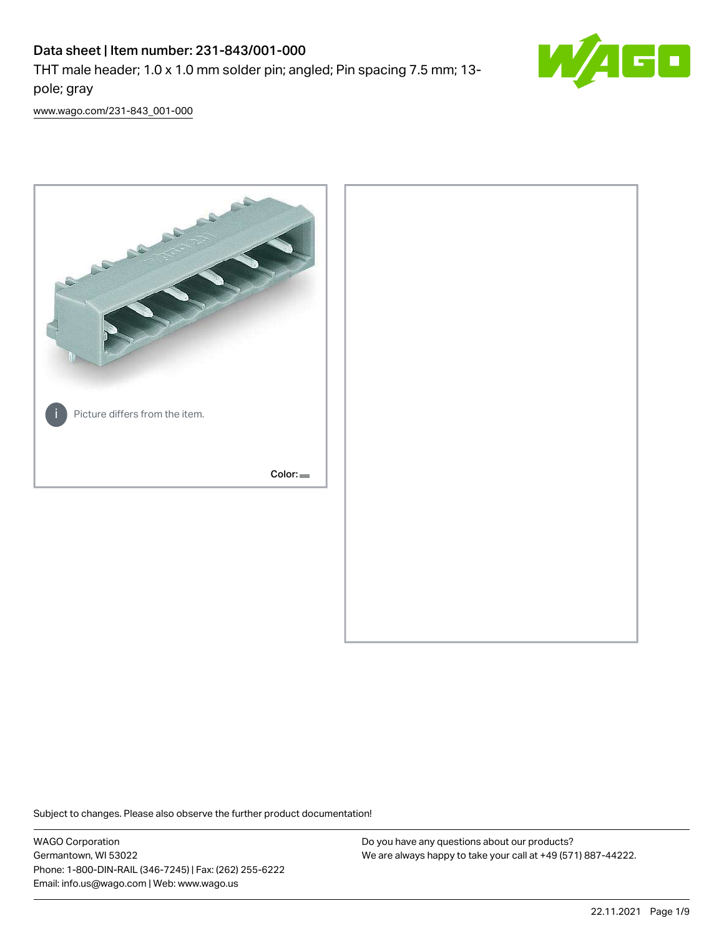# Data sheet | Item number: 231-843/001-000

THT male header; 1.0 x 1.0 mm solder pin; angled; Pin spacing 7.5 mm; 13 pole; gray



[www.wago.com/231-843\\_001-000](http://www.wago.com/231-843_001-000)



Subject to changes. Please also observe the further product documentation!

WAGO Corporation Germantown, WI 53022 Phone: 1-800-DIN-RAIL (346-7245) | Fax: (262) 255-6222 Email: info.us@wago.com | Web: www.wago.us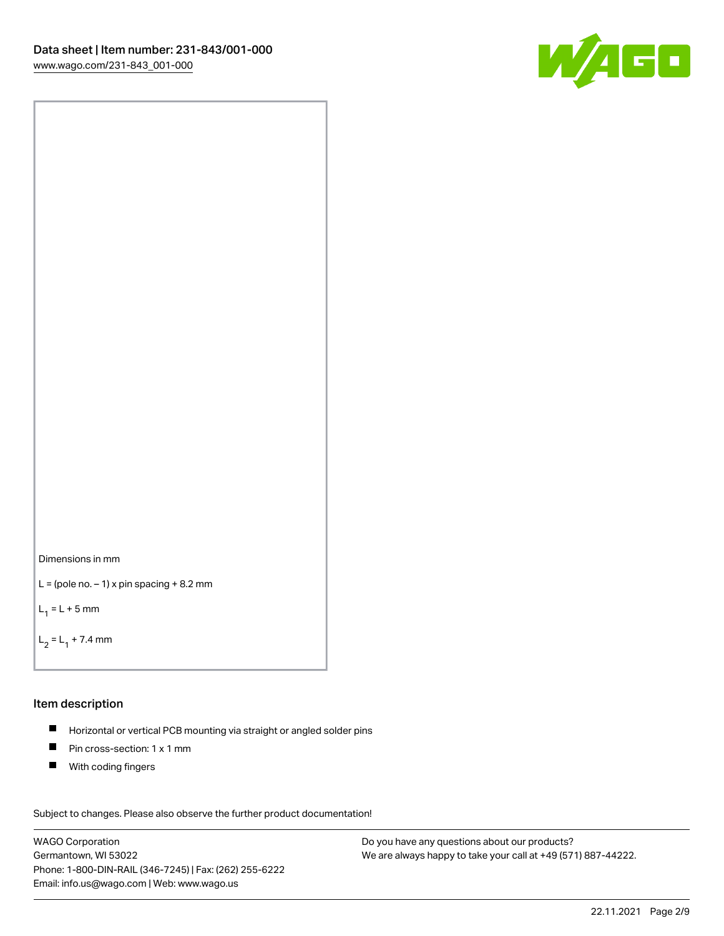



```
L = (pole no. -1) x pin spacing +8.2 mm
```
 $L_1 = L + 5$  mm

```
L_2 = L_1 + 7.4 mm
```
#### Item description

- Horizontal or vertical PCB mounting via straight or angled solder pins  $\blacksquare$
- $\blacksquare$ Pin cross-section: 1 x 1 mm
- $\blacksquare$ With coding fingers

Subject to changes. Please also observe the further product documentation! Data

WAGO Corporation Germantown, WI 53022 Phone: 1-800-DIN-RAIL (346-7245) | Fax: (262) 255-6222 Email: info.us@wago.com | Web: www.wago.us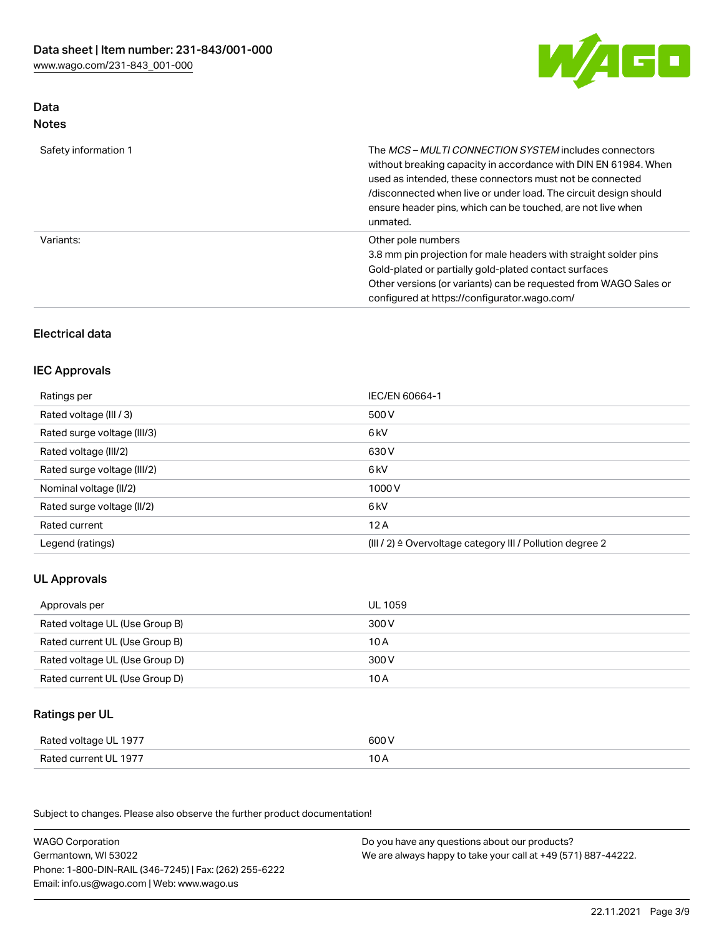

## Data Notes

| Safety information 1 | The <i>MCS – MULTI CONNECTION SYSTEM</i> includes connectors<br>without breaking capacity in accordance with DIN EN 61984. When<br>used as intended, these connectors must not be connected<br>/disconnected when live or under load. The circuit design should<br>ensure header pins, which can be touched, are not live when<br>unmated. |
|----------------------|--------------------------------------------------------------------------------------------------------------------------------------------------------------------------------------------------------------------------------------------------------------------------------------------------------------------------------------------|
| Variants:            | Other pole numbers<br>3.8 mm pin projection for male headers with straight solder pins<br>Gold-plated or partially gold-plated contact surfaces<br>Other versions (or variants) can be requested from WAGO Sales or<br>configured at https://configurator.wago.com/                                                                        |

# Electrical data

# IEC Approvals

| Ratings per                 | IEC/EN 60664-1                                                        |
|-----------------------------|-----------------------------------------------------------------------|
| Rated voltage (III / 3)     | 500 V                                                                 |
| Rated surge voltage (III/3) | 6 kV                                                                  |
| Rated voltage (III/2)       | 630 V                                                                 |
| Rated surge voltage (III/2) | 6 <sub>k</sub> V                                                      |
| Nominal voltage (II/2)      | 1000V                                                                 |
| Rated surge voltage (II/2)  | 6 kV                                                                  |
| Rated current               | 12A                                                                   |
| Legend (ratings)            | $(III / 2)$ $\triangle$ Overvoltage category III / Pollution degree 2 |

# UL Approvals

| Approvals per                  | UL 1059 |
|--------------------------------|---------|
| Rated voltage UL (Use Group B) | 300 V   |
| Rated current UL (Use Group B) | 10 A    |
| Rated voltage UL (Use Group D) | 300 V   |
| Rated current UL (Use Group D) | 10 A    |

## Ratings per UL

| Rated voltage UL 1977 | 600 V |
|-----------------------|-------|
| Rated current UL 1977 | 10 A  |

| <b>WAGO Corporation</b>                                | Do you have any questions about our products?                 |
|--------------------------------------------------------|---------------------------------------------------------------|
| Germantown, WI 53022                                   | We are always happy to take your call at +49 (571) 887-44222. |
| Phone: 1-800-DIN-RAIL (346-7245)   Fax: (262) 255-6222 |                                                               |
| Email: info.us@wago.com   Web: www.wago.us             |                                                               |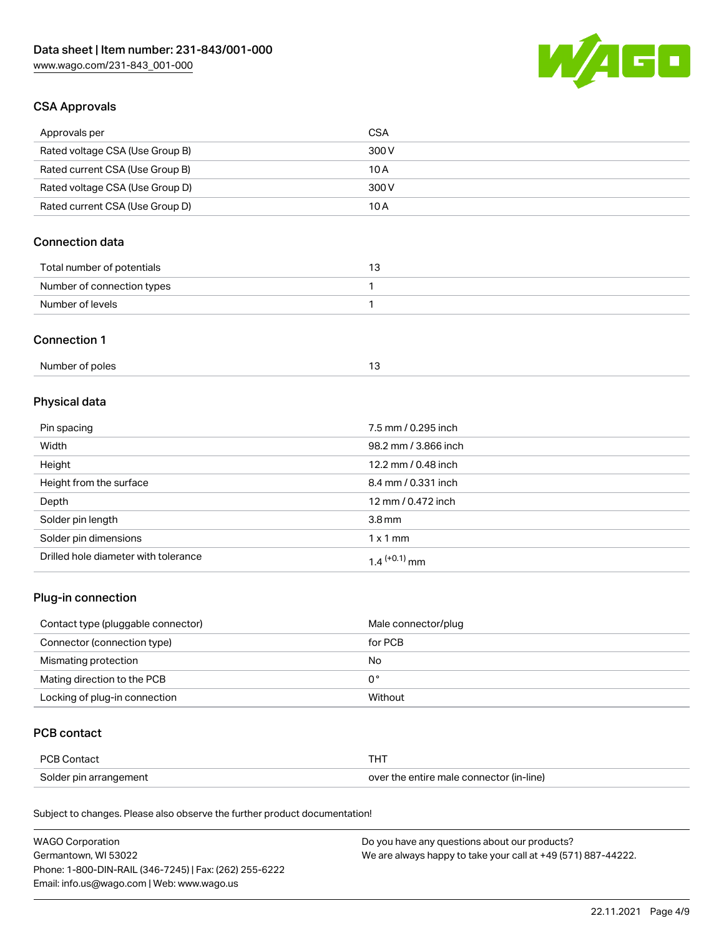

# CSA Approvals

| Approvals per                   | CSA   |
|---------------------------------|-------|
| Rated voltage CSA (Use Group B) | 300 V |
| Rated current CSA (Use Group B) | 10 A  |
| Rated voltage CSA (Use Group D) | 300 V |
| Rated current CSA (Use Group D) | 10 A  |

# Connection data

| Total number of potentials |  |
|----------------------------|--|
| Number of connection types |  |
| Number of levels           |  |

#### Connection 1

| Number of poles |  |
|-----------------|--|
|                 |  |

# Physical data

| Pin spacing                          | 7.5 mm / 0.295 inch  |
|--------------------------------------|----------------------|
| Width                                | 98.2 mm / 3.866 inch |
| Height                               | 12.2 mm / 0.48 inch  |
| Height from the surface              | 8.4 mm / 0.331 inch  |
| Depth                                | 12 mm / 0.472 inch   |
| Solder pin length                    | 3.8 <sub>mm</sub>    |
| Solder pin dimensions                | $1 \times 1$ mm      |
| Drilled hole diameter with tolerance | $1.4$ $(+0.1)$ mm    |

# Plug-in connection

| Contact type (pluggable connector) | Male connector/plug |
|------------------------------------|---------------------|
| Connector (connection type)        | for PCB             |
| Mismating protection               | No                  |
| Mating direction to the PCB        | 0°                  |
| Locking of plug-in connection      | Without             |

# PCB contact

| PCB Contact            | тнт                                      |
|------------------------|------------------------------------------|
| Solder pin arrangement | over the entire male connector (in-line) |

| <b>WAGO Corporation</b>                                | Do you have any questions about our products?                 |
|--------------------------------------------------------|---------------------------------------------------------------|
| Germantown, WI 53022                                   | We are always happy to take your call at +49 (571) 887-44222. |
| Phone: 1-800-DIN-RAIL (346-7245)   Fax: (262) 255-6222 |                                                               |
| Email: info.us@wago.com   Web: www.wago.us             |                                                               |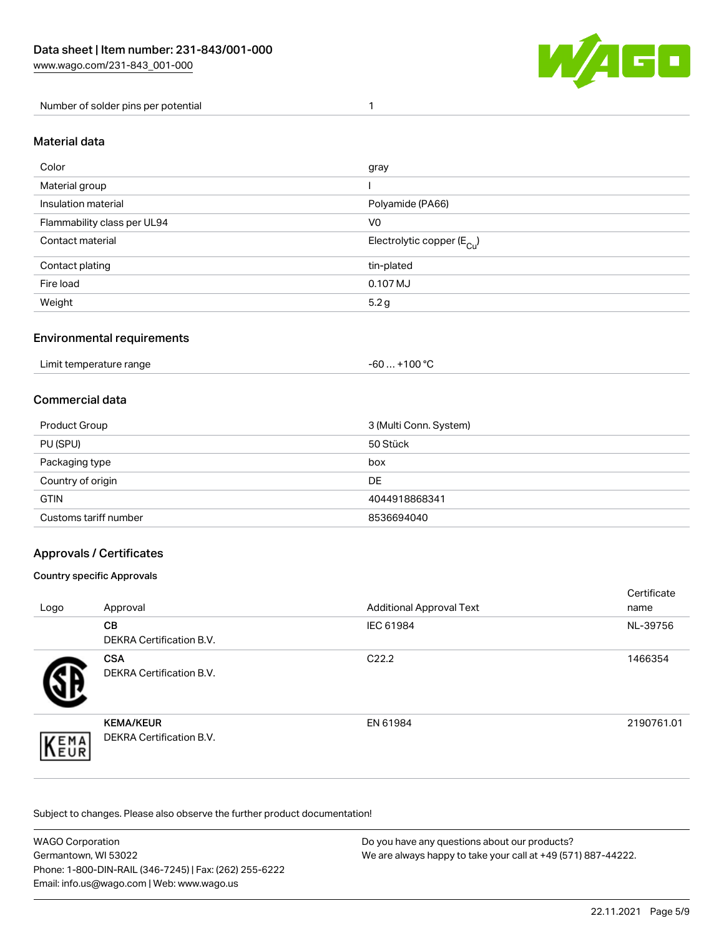

Number of solder pins per potential 1

## Material data

| Color                       | gray                                    |
|-----------------------------|-----------------------------------------|
| Material group              |                                         |
| Insulation material         | Polyamide (PA66)                        |
| Flammability class per UL94 | V <sub>0</sub>                          |
| Contact material            | Electrolytic copper ( $E_{\text{Cu}}$ ) |
| Contact plating             | tin-plated                              |
| Fire load                   | 0.107 MJ                                |
| Weight                      | 5.2 g                                   |

## Environmental requirements

Limit temperature range  $-60... +100$  °C

## Commercial data

| Product Group         | 3 (Multi Conn. System) |
|-----------------------|------------------------|
| PU (SPU)              | 50 Stück               |
| Packaging type        | box                    |
| Country of origin     | DE                     |
| <b>GTIN</b>           | 4044918868341          |
| Customs tariff number | 8536694040             |

## Approvals / Certificates

#### Country specific Approvals

| Logo                | Approval                                            | <b>Additional Approval Text</b> | Certificate<br>name |
|---------------------|-----------------------------------------------------|---------------------------------|---------------------|
|                     | <b>CB</b><br><b>DEKRA Certification B.V.</b>        | IEC 61984                       | NL-39756            |
|                     | <b>CSA</b><br>DEKRA Certification B.V.              | C <sub>22.2</sub>               | 1466354             |
| EMA<br><b>INEUR</b> | <b>KEMA/KEUR</b><br><b>DEKRA Certification B.V.</b> | EN 61984                        | 2190761.01          |

| <b>WAGO Corporation</b>                                | Do you have any questions about our products?                 |
|--------------------------------------------------------|---------------------------------------------------------------|
| Germantown, WI 53022                                   | We are always happy to take your call at +49 (571) 887-44222. |
| Phone: 1-800-DIN-RAIL (346-7245)   Fax: (262) 255-6222 |                                                               |
| Email: info.us@wago.com   Web: www.wago.us             |                                                               |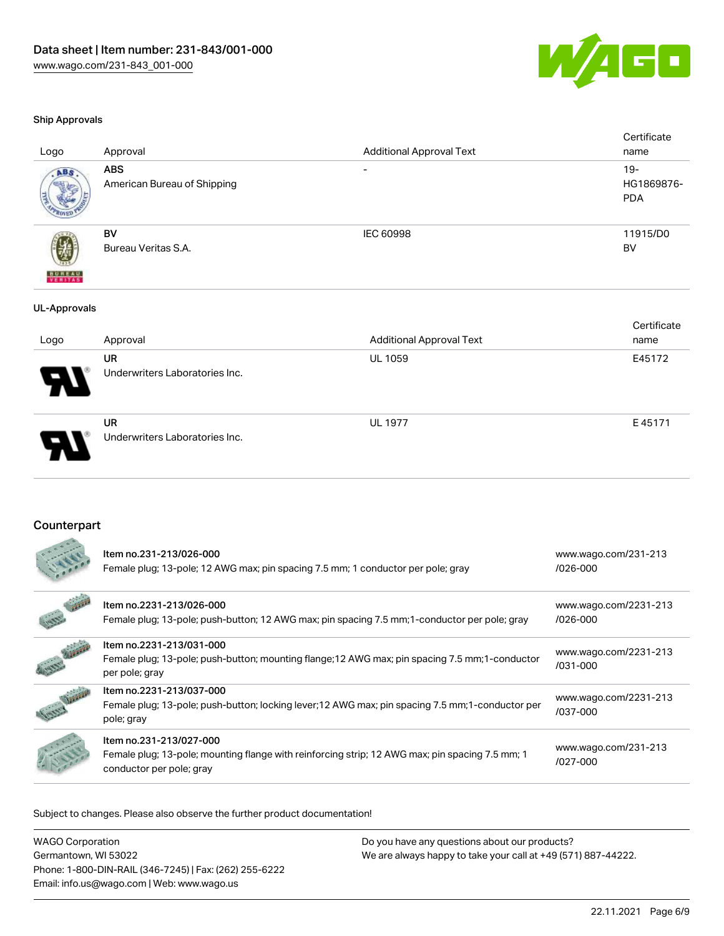

#### Ship Approvals

| Logo                        | Approval                                  | <b>Additional Approval Text</b> | Certificate<br>name                |
|-----------------------------|-------------------------------------------|---------------------------------|------------------------------------|
| ABS.                        | <b>ABS</b><br>American Bureau of Shipping | $\overline{\phantom{0}}$        | $19 -$<br>HG1869876-<br><b>PDA</b> |
| <b>BUREAU</b><br>VERITAS    | <b>BV</b><br>Bureau Veritas S.A.          | <b>IEC 60998</b>                | 11915/D0<br><b>BV</b>              |
| <b>UL-Approvals</b><br>Logo | Approval                                  | <b>Additional Approval Text</b> | Certificate<br>name                |

| Logo | Approval                                    | Additional Approval Text | name   |
|------|---------------------------------------------|--------------------------|--------|
| A    | <b>UR</b><br>Underwriters Laboratories Inc. | <b>UL 1059</b>           | E45172 |
| D    | UR<br>Underwriters Laboratories Inc.        | <b>UL 1977</b>           | E45171 |

## Counterpart

| Item no.231-213/026-000<br>Female plug; 13-pole; 12 AWG max; pin spacing 7.5 mm; 1 conductor per pole; gray                                            | www.wago.com/231-213<br>/026-000      |
|--------------------------------------------------------------------------------------------------------------------------------------------------------|---------------------------------------|
| Item no.2231-213/026-000<br>Female plug; 13-pole; push-button; 12 AWG max; pin spacing 7.5 mm; 1-conductor per pole; gray                              | www.wago.com/2231-213<br>/026-000     |
| Item no.2231-213/031-000<br>Female plug; 13-pole; push-button; mounting flange; 12 AWG max; pin spacing 7.5 mm; 1-conductor<br>per pole; gray          | www.wago.com/2231-213<br>$/031 - 000$ |
| Item no.2231-213/037-000<br>Female plug; 13-pole; push-button; locking lever; 12 AWG max; pin spacing 7.5 mm; 1-conductor per<br>pole; gray            | www.wago.com/2231-213<br>/037-000     |
| Item no.231-213/027-000<br>Female plug; 13-pole; mounting flange with reinforcing strip; 12 AWG max; pin spacing 7.5 mm; 1<br>conductor per pole; gray | www.wago.com/231-213<br>/027-000      |

| <b>WAGO Corporation</b>                                | Do you have any questions about our products?                 |
|--------------------------------------------------------|---------------------------------------------------------------|
| Germantown, WI 53022                                   | We are always happy to take your call at +49 (571) 887-44222. |
| Phone: 1-800-DIN-RAIL (346-7245)   Fax: (262) 255-6222 |                                                               |
| Email: info.us@wago.com   Web: www.wago.us             |                                                               |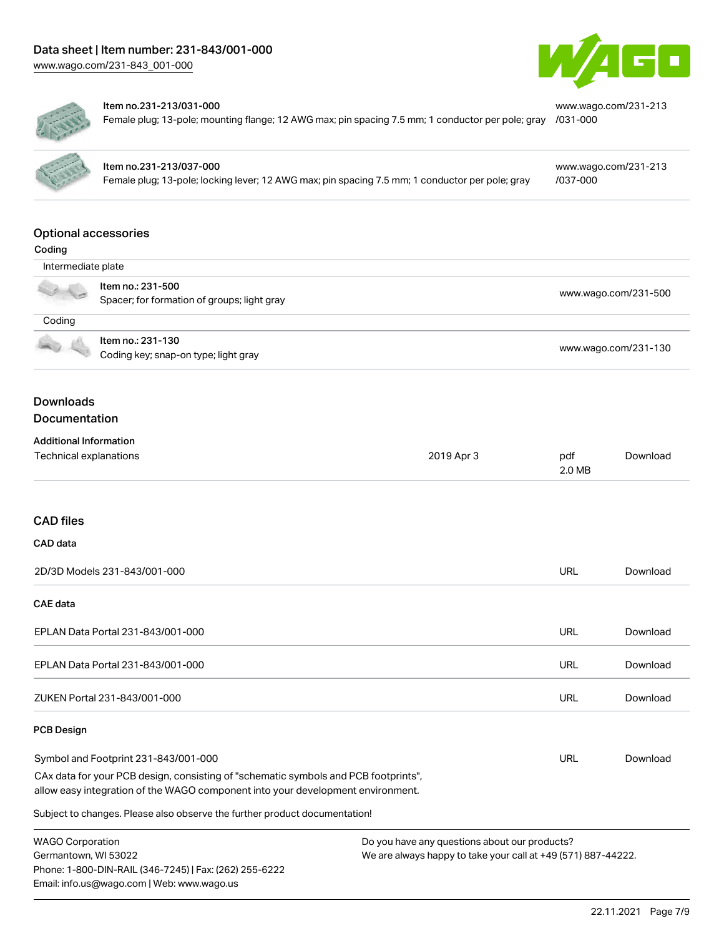

[www.wago.com/231-213](https://www.wago.com/231-213/031-000)



#### Item no.231-213/031-000

Female plug; 13-pole; mounting flange; 12 AWG max; pin spacing 7.5 mm; 1 conductor per pole; gray [/031-000](https://www.wago.com/231-213/031-000)

| ۰ |  |
|---|--|
|   |  |

# Item no.231-213/037-000

Female plug; 13-pole; locking lever; 12 AWG max; pin spacing 7.5 mm; 1 conductor per pole; gray

[www.wago.com/231-213](https://www.wago.com/231-213/037-000) [/037-000](https://www.wago.com/231-213/037-000)

#### Optional accessories

| Intermediate plate                                               |                                                           |            |                      |                      |  |
|------------------------------------------------------------------|-----------------------------------------------------------|------------|----------------------|----------------------|--|
| Item no.: 231-500<br>Spacer; for formation of groups; light gray |                                                           |            | www.wago.com/231-500 |                      |  |
| Coding                                                           |                                                           |            |                      |                      |  |
|                                                                  | Item no.: 231-130<br>Coding key; snap-on type; light gray |            |                      | www.wago.com/231-130 |  |
| <b>Downloads</b><br>Documentation                                |                                                           |            |                      |                      |  |
| <b>Additional Information</b>                                    |                                                           |            |                      |                      |  |
| Technical explanations                                           |                                                           | 2019 Apr 3 | pdf<br>2.0 MB        | Download             |  |
| <b>CAD files</b>                                                 |                                                           |            |                      |                      |  |
| CAD data                                                         |                                                           |            |                      |                      |  |
|                                                                  | 2D/3D Models 231-843/001-000                              |            | URL                  | Download             |  |
| CAE data                                                         |                                                           |            |                      |                      |  |
|                                                                  | EPLAN Data Portal 231-843/001-000                         |            | <b>URL</b>           | Download             |  |

EPLAN Data Portal 231-843/001-000 URL [Download](https://www.wago.com/global/d/EPLAN_URLS_231-843_001-000)

ZUKEN Portal 231-843/001-000 URL [Download](https://www.wago.com/global/d/Zuken_URLS_231-843_001-000)

#### PCB Design

| Symbol and Footprint 231-843/001-000                                                | URL | Download |
|-------------------------------------------------------------------------------------|-----|----------|
| CAx data for your PCB design, consisting of "schematic symbols and PCB footprints", |     |          |
| allow easy integration of the WAGO component into your development environment.     |     |          |

| <b>WAGO Corporation</b>                                | Do you have any questions about our products?                 |
|--------------------------------------------------------|---------------------------------------------------------------|
| Germantown, WI 53022                                   | We are always happy to take your call at +49 (571) 887-44222. |
| Phone: 1-800-DIN-RAIL (346-7245)   Fax: (262) 255-6222 |                                                               |
| Email: info.us@wago.com   Web: www.wago.us             |                                                               |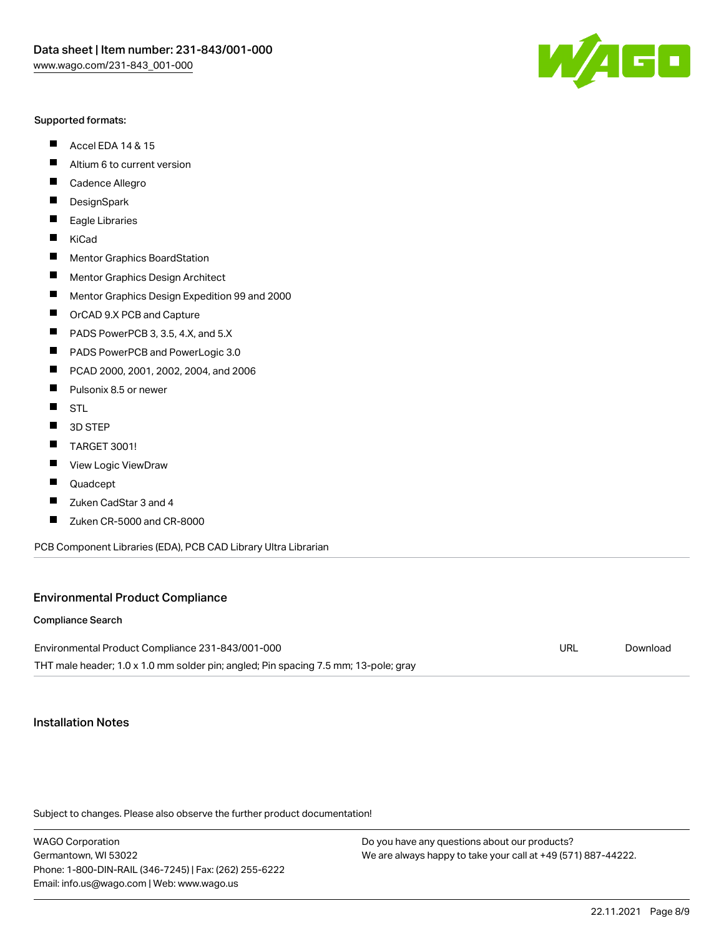#### Supported formats:

- $\blacksquare$ Accel EDA 14 & 15
- $\blacksquare$ Altium 6 to current version
- $\blacksquare$ Cadence Allegro
- $\blacksquare$ **DesignSpark**
- $\blacksquare$ Eagle Libraries
- $\blacksquare$ KiCad
- $\blacksquare$ Mentor Graphics BoardStation
- $\blacksquare$ Mentor Graphics Design Architect
- $\blacksquare$ Mentor Graphics Design Expedition 99 and 2000
- $\blacksquare$ OrCAD 9.X PCB and Capture
- $\blacksquare$ PADS PowerPCB 3, 3.5, 4.X, and 5.X
- $\blacksquare$ PADS PowerPCB and PowerLogic 3.0
- $\blacksquare$ PCAD 2000, 2001, 2002, 2004, and 2006
- $\blacksquare$ Pulsonix 8.5 or newer
- $\blacksquare$ STL
- 3D STEP П
- П TARGET 3001!
- $\blacksquare$ View Logic ViewDraw
- П Quadcept
- $\blacksquare$ Zuken CadStar 3 and 4
- Zuken CR-5000 and CR-8000 П

PCB Component Libraries (EDA), PCB CAD Library Ultra Librarian

#### Environmental Product Compliance

#### Compliance Search

Environmental Product Compliance 231-843/001-000 THT male header; 1.0 x 1.0 mm solder pin; angled; Pin spacing 7.5 mm; 13-pole; gray URL [Download](https://www.wago.com/global/d/ComplianceLinkMediaContainer_231-843_001-000)

## Installation Notes

Subject to changes. Please also observe the further product documentation!

WAGO Corporation Germantown, WI 53022 Phone: 1-800-DIN-RAIL (346-7245) | Fax: (262) 255-6222 Email: info.us@wago.com | Web: www.wago.us